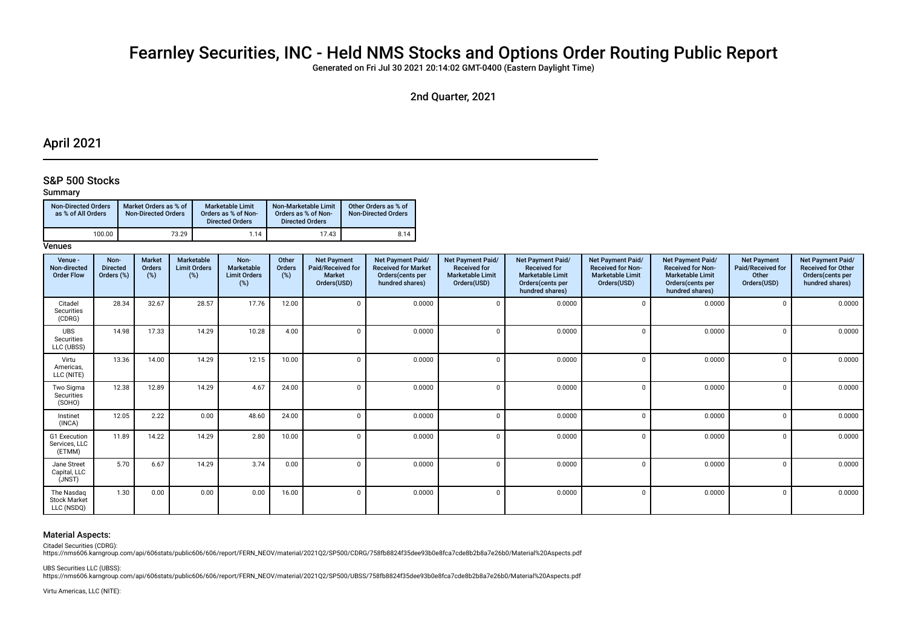# Fearnley Securities, INC - Held NMS Stocks and Options Order Routing Public Report

Generated on Fri Jul 30 2021 20:14:02 GMT-0400 (Eastern Daylight Time)

## 2nd Quarter, 2021

## April 2021

### S&P 500 Stocks

#### Summary

| <b>Non-Directed Orders</b><br>as % of All Orders | Market Orders as % of<br><b>Non-Directed Orders</b> | Marketable Limit<br>Orders as % of Non-<br><b>Directed Orders</b> | Non-Marketable Limit<br>Orders as % of Non-<br><b>Directed Orders</b> | Other Orders as % of<br><b>Non-Directed Orders</b> |
|--------------------------------------------------|-----------------------------------------------------|-------------------------------------------------------------------|-----------------------------------------------------------------------|----------------------------------------------------|
| 100.00                                           | 73.29                                               | 1.14                                                              | 17.43                                                                 | 8.14                                               |

#### **Venues**

| Venue -<br>Non-directed<br><b>Order Flow</b>    | Non-<br><b>Directed</b><br>Orders (%) | <b>Market</b><br>Orders<br>(%) | Marketable<br><b>Limit Orders</b><br>(%) | Non-<br>Marketable<br><b>Limit Orders</b><br>(%) | Other<br>Orders<br>$(\%)$ | <b>Net Payment</b><br>Paid/Received for<br><b>Market</b><br>Orders(USD) | Net Payment Paid/<br><b>Received for Market</b><br>Orders(cents per<br>hundred shares) | Net Payment Paid/<br><b>Received for</b><br><b>Marketable Limit</b><br>Orders(USD) | Net Payment Paid/<br><b>Received for</b><br><b>Marketable Limit</b><br>Orders(cents per<br>hundred shares) | <b>Net Payment Paid/</b><br><b>Received for Non-</b><br><b>Marketable Limit</b><br>Orders(USD) | <b>Net Payment Paid/</b><br><b>Received for Non-</b><br><b>Marketable Limit</b><br>Orders (cents per<br>hundred shares) | <b>Net Payment</b><br>Paid/Received for<br>Other<br>Orders(USD) | Net Payment Paid/<br><b>Received for Other</b><br>Orders(cents per<br>hundred shares) |
|-------------------------------------------------|---------------------------------------|--------------------------------|------------------------------------------|--------------------------------------------------|---------------------------|-------------------------------------------------------------------------|----------------------------------------------------------------------------------------|------------------------------------------------------------------------------------|------------------------------------------------------------------------------------------------------------|------------------------------------------------------------------------------------------------|-------------------------------------------------------------------------------------------------------------------------|-----------------------------------------------------------------|---------------------------------------------------------------------------------------|
| Citadel<br>Securities<br>(CDRG)                 | 28.34                                 | 32.67                          | 28.57                                    | 17.76                                            | 12.00                     | $\Omega$                                                                | 0.0000                                                                                 | $\mathbf 0$                                                                        | 0.0000                                                                                                     | $\sqrt{ }$                                                                                     | 0.0000                                                                                                                  |                                                                 | 0.0000                                                                                |
| UBS<br>Securities<br>LLC (UBSS)                 | 14.98                                 | 17.33                          | 14.29                                    | 10.28                                            | 4.00                      | $\Omega$                                                                | 0.0000                                                                                 | $\Omega$                                                                           | 0.0000                                                                                                     |                                                                                                | 0.0000                                                                                                                  |                                                                 | 0.0000                                                                                |
| Virtu<br>Americas,<br>LLC (NITE)                | 13.36                                 | 14.00                          | 14.29                                    | 12.15                                            | 10.00                     | $\Omega$                                                                | 0.0000                                                                                 | $\Omega$                                                                           | 0.0000                                                                                                     | ſ                                                                                              | 0.0000                                                                                                                  |                                                                 | 0.0000                                                                                |
| Two Sigma<br>Securities<br>(SOHO)               | 12.38                                 | 12.89                          | 14.29                                    | 4.67                                             | 24.00                     | $\Omega$                                                                | 0.0000                                                                                 | $\Omega$                                                                           | 0.0000                                                                                                     | $\sqrt{ }$                                                                                     | 0.0000                                                                                                                  | $\Omega$                                                        | 0.0000                                                                                |
| Instinet<br>(INCA)                              | 12.05                                 | 2.22                           | 0.00                                     | 48.60                                            | 24.00                     | $\Omega$                                                                | 0.0000                                                                                 | $\Omega$                                                                           | 0.0000                                                                                                     | $\sqrt{ }$                                                                                     | 0.0000                                                                                                                  |                                                                 | 0.0000                                                                                |
| G1 Execution<br>Services, LLC<br>(ETMM)         | 11.89                                 | 14.22                          | 14.29                                    | 2.80                                             | 10.00                     | $\Omega$                                                                | 0.0000                                                                                 | $\Omega$                                                                           | 0.0000                                                                                                     | ſ                                                                                              | 0.0000                                                                                                                  |                                                                 | 0.0000                                                                                |
| Jane Street<br>Capital, LLC<br>(JNST)           | 5.70                                  | 6.67                           | 14.29                                    | 3.74                                             | 0.00                      | $\Omega$                                                                | 0.0000                                                                                 | $\Omega$                                                                           | 0.0000                                                                                                     | ſ                                                                                              | 0.0000                                                                                                                  | $\Omega$                                                        | 0.0000                                                                                |
| The Nasdaq<br><b>Stock Market</b><br>LLC (NSDQ) | 1.30                                  | 0.00                           | 0.00                                     | 0.00                                             | 16.00                     | 0                                                                       | 0.0000                                                                                 | $\Omega$                                                                           | 0.0000                                                                                                     | $\sqrt{ }$                                                                                     | 0.0000                                                                                                                  | $\cap$                                                          | 0.0000                                                                                |

#### Material Aspects:

Citadel Securities (CDRG):

https://nms606.karngroup.com/api/606stats/public606/606/report/FERN\_NEOV/material/2021Q2/SP500/CDRG/758fb8824f35dee93b0e8fca7cde8b2b8a7e26b0/Material%20Aspects.pdf

UBS Securities LLC (UBSS):

https://nms606.karngroup.com/api/606stats/public606/606/report/FERN\_NEOV/material/2021Q2/SP500/UBSS/758fb8824f35dee93b0e8fca7cde8b2b8a7e26b0/Material%20Aspects.pdf

Virtu Americas, LLC (NITE):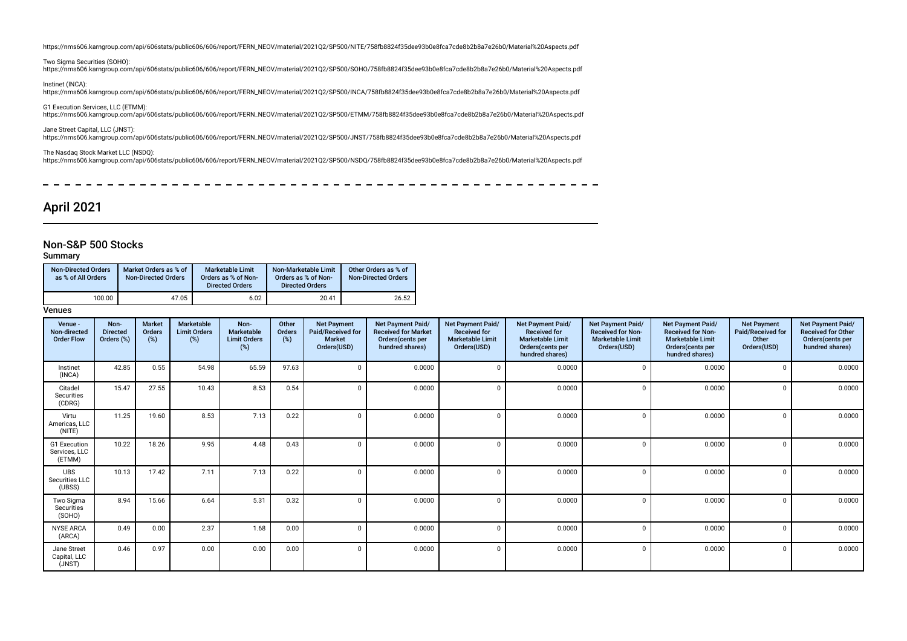https://nms606.karngroup.com/api/606stats/public606/606/report/FERN\_NEOV/material/2021Q2/SP500/NITE/758fb8824f35dee93b0e8fca7cde8b2b8a7e26b0/Material%20Aspects.pdf

Two Sigma Securities (SOHO): https://nms606.karngroup.com/api/606stats/public606/606/report/FERN\_NEOV/material/2021Q2/SP500/SOHO/758fb8824f35dee93b0e8fca7cde8b2b8a7e26b0/Material%20Aspects.pdf

Instinet (INCA): https://nms606.karngroup.com/api/606stats/public606/606/report/FERN\_NEOV/material/2021Q2/SP500/INCA/758fb8824f35dee93b0e8fca7cde8b2b8a7e26b0/Material%20Aspects.pdf

G1 Execution Services, LLC (ETMM): https://nms606.karngroup.com/api/606stats/public606/606/report/FERN\_NEOV/material/2021Q2/SP500/ETMM/758fb8824f35dee93b0e8fca7cde8b2b8a7e26b0/Material%20Aspects.pdf

Jane Street Capital, LLC (JNST): https://nms606.karngroup.com/api/606stats/public606/606/report/FERN\_NEOV/material/2021Q2/SP500/JNST/758fb8824f35dee93b0e8fca7cde8b2b8a7e26b0/Material%20Aspects.pdf

The Nasdaq Stock Market LLC (NSDQ): https://nms606.karngroup.com/api/606stats/public606/606/report/FERN\_NEOV/material/2021Q2/SP500/NSDQ/758fb8824f35dee93b0e8fca7cde8b2b8a7e26b0/Material%20Aspects.pdf

----------- $\frac{1}{2}$  $\sim$ <u>—</u>  $\sim$  $\overline{\phantom{0}}$  $\overline{\phantom{0}}$  $\sim$  $\sim$  $\equiv$ 

## April 2021

 $\overline{a}$ 

### Non-S&P 500 Stocks

#### Summary

| <b>Non-Directed Orders</b><br>as % of All Orders | Market Orders as % of<br><b>Non-Directed Orders</b> | <b>Marketable Limit</b><br>Orders as % of Non-<br><b>Directed Orders</b> | Non-Marketable Limit<br>Orders as % of Non-<br><b>Directed Orders</b> | Other Orders as % of<br><b>Non-Directed Orders</b> |
|--------------------------------------------------|-----------------------------------------------------|--------------------------------------------------------------------------|-----------------------------------------------------------------------|----------------------------------------------------|
| 100.00                                           | 47.05                                               | 6.02                                                                     | 20.41                                                                 | 26.52                                              |

| Venue -<br>Non-directed<br><b>Order Flow</b> | Non-<br><b>Directed</b><br>Orders (%) | <b>Market</b><br>Orders<br>(%) | Marketable<br><b>Limit Orders</b><br>(%) | Non-<br>Marketable<br><b>Limit Orders</b><br>(%) | Other<br>Orders<br>$(\%)$ | <b>Net Payment</b><br>Paid/Received for<br><b>Market</b><br>Orders(USD) | Net Payment Paid/<br><b>Received for Market</b><br>Orders (cents per<br>hundred shares) | Net Payment Paid/<br><b>Received for</b><br><b>Marketable Limit</b><br>Orders(USD) | <b>Net Payment Paid/</b><br><b>Received for</b><br><b>Marketable Limit</b><br>Orders(cents per<br>hundred shares) | Net Payment Paid/<br><b>Received for Non-</b><br><b>Marketable Limit</b><br>Orders(USD) | <b>Net Payment Paid/</b><br><b>Received for Non-</b><br><b>Marketable Limit</b><br>Orders(cents per<br>hundred shares) | <b>Net Payment</b><br>Paid/Received for<br>Other<br>Orders(USD) | Net Payment Paid/<br><b>Received for Other</b><br>Orders(cents per<br>hundred shares) |
|----------------------------------------------|---------------------------------------|--------------------------------|------------------------------------------|--------------------------------------------------|---------------------------|-------------------------------------------------------------------------|-----------------------------------------------------------------------------------------|------------------------------------------------------------------------------------|-------------------------------------------------------------------------------------------------------------------|-----------------------------------------------------------------------------------------|------------------------------------------------------------------------------------------------------------------------|-----------------------------------------------------------------|---------------------------------------------------------------------------------------|
| Instinet<br>(INCA)                           | 42.85                                 | 0.55                           | 54.98                                    | 65.59                                            | 97.63                     |                                                                         | 0.0000                                                                                  |                                                                                    | 0.0000                                                                                                            |                                                                                         | 0.0000                                                                                                                 | $\Omega$                                                        | 0.0000                                                                                |
| Citadel<br>Securities<br>(CDRG)              | 15.47                                 | 27.55                          | 10.43                                    | 8.53                                             | 0.54                      |                                                                         | 0.0000                                                                                  |                                                                                    | 0.0000                                                                                                            |                                                                                         | 0.0000                                                                                                                 | $\Omega$                                                        | 0.0000                                                                                |
| Virtu<br>Americas, LLC<br>(NITE)             | 11.25                                 | 19.60                          | 8.53                                     | 7.13                                             | 0.22                      |                                                                         | 0.0000                                                                                  |                                                                                    | 0.0000                                                                                                            |                                                                                         | 0.0000                                                                                                                 | - 0                                                             | 0.0000                                                                                |
| G1 Execution<br>Services, LLC<br>(ETMM)      | 10.22                                 | 18.26                          | 9.95                                     | 4.48                                             | 0.43                      |                                                                         | 0.0000                                                                                  |                                                                                    | 0.0000                                                                                                            |                                                                                         | 0.0000                                                                                                                 | $\Omega$                                                        | 0.0000                                                                                |
| <b>UBS</b><br>Securities LLC<br>(UBSS)       | 10.13                                 | 17.42                          | 7.11                                     | 7.13                                             | 0.22                      |                                                                         | 0.0000                                                                                  |                                                                                    | 0.0000                                                                                                            |                                                                                         | 0.0000                                                                                                                 | $\Omega$                                                        | 0.0000                                                                                |
| Two Sigma<br>Securities<br>(SOHO)            | 8.94                                  | 15.66                          | 6.64                                     | 5.31                                             | 0.32                      |                                                                         | 0.0000                                                                                  |                                                                                    | 0.0000                                                                                                            |                                                                                         | 0.0000                                                                                                                 | $\Omega$                                                        | 0.0000                                                                                |
| <b>NYSE ARCA</b><br>(ARCA)                   | 0.49                                  | 0.00                           | 2.37                                     | 1.68                                             | 0.00                      |                                                                         | 0.0000                                                                                  |                                                                                    | 0.0000                                                                                                            |                                                                                         | 0.0000                                                                                                                 | - 0                                                             | 0.0000                                                                                |
| Jane Street<br>Capital, LLC<br>(JNST)        | 0.46                                  | 0.97                           | 0.00                                     | 0.00                                             | 0.00                      |                                                                         | 0.0000                                                                                  |                                                                                    | 0.0000                                                                                                            |                                                                                         | 0.0000                                                                                                                 | $\Omega$                                                        | 0.0000                                                                                |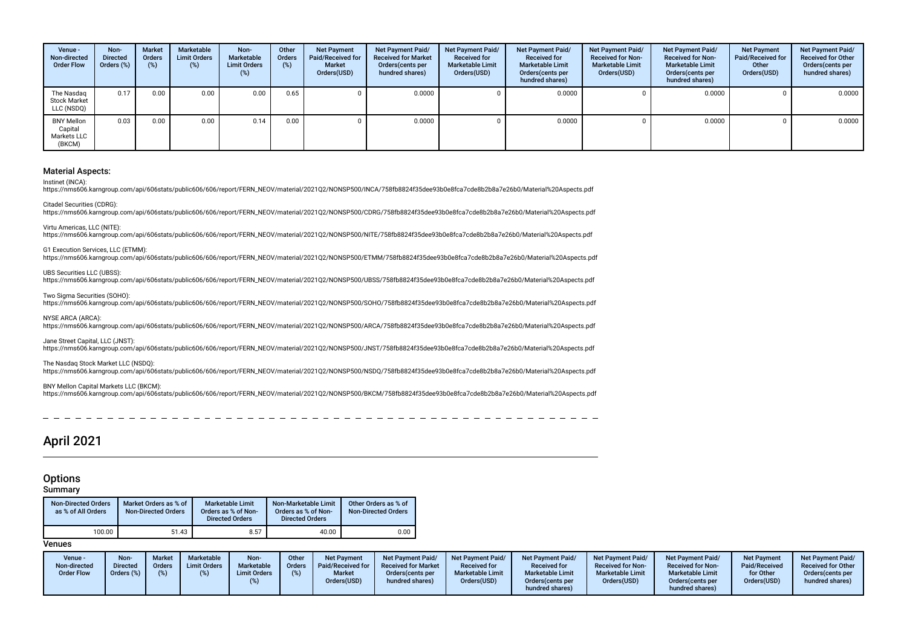| Venue -<br>Non-directed<br><b>Order Flow</b>          | Non-<br><b>Directed</b><br>Orders (%) | <b>Market</b><br>Orders<br>(%) | Marketable<br><b>Limit Orders</b><br>$(\%)$ | Non-<br>Marketable<br><b>Limit Orders</b><br>(%) | Other<br><b>Orders</b><br>(%) | <b>Net Payment</b><br>Paid/Received for<br><b>Market</b><br>Orders(USD) | Net Payment Paid/<br><b>Received for Market</b><br>Orders (cents per<br>hundred shares) | <b>Net Payment Paid/</b><br><b>Received for</b><br><b>Marketable Limit</b><br>Orders(USD) | Net Payment Paid/<br><b>Received for</b><br><b>Marketable Limit</b><br>Orders(cents per<br>hundred shares) | Net Payment Paid/<br><b>Received for Non-</b><br><b>Marketable Limit</b><br>Orders(USD) | Net Payment Paid/<br><b>Received for Non-</b><br><b>Marketable Limit</b><br>Orders(cents per<br>hundred shares) | <b>Net Payment</b><br>Paid/Received for<br>Other<br>Orders(USD) | Net Payment Paid/<br><b>Received for Other</b><br>Orders (cents per<br>hundred shares) |
|-------------------------------------------------------|---------------------------------------|--------------------------------|---------------------------------------------|--------------------------------------------------|-------------------------------|-------------------------------------------------------------------------|-----------------------------------------------------------------------------------------|-------------------------------------------------------------------------------------------|------------------------------------------------------------------------------------------------------------|-----------------------------------------------------------------------------------------|-----------------------------------------------------------------------------------------------------------------|-----------------------------------------------------------------|----------------------------------------------------------------------------------------|
| The Nasdag<br><b>Stock Market</b><br>LLC (NSDQ)       | 0.17                                  | 0.00                           | 0.00                                        | 0.00                                             | 0.65                          |                                                                         | 0.0000                                                                                  |                                                                                           | 0.0000                                                                                                     |                                                                                         | 0.0000                                                                                                          |                                                                 | 0.0000                                                                                 |
| <b>BNY Mellon</b><br>Capital<br>Markets LLC<br>(BKCM) | 0.03                                  | 0.00                           | 0.00                                        | 0.14                                             | 0.00                          |                                                                         | 0.0000                                                                                  |                                                                                           | 0.0000                                                                                                     |                                                                                         | 0.0000                                                                                                          |                                                                 | 0.0000                                                                                 |

Instinet (INCA):

https://nms606.karngroup.com/api/606stats/public606/606/report/FERN\_NEOV/material/2021Q2/NONSP500/INCA/758fb8824f35dee93b0e8fca7cde8b2b8a7e26b0/Material%20Aspects.pdf

Citadel Securities (CDRG): https://nms606.karngroup.com/api/606stats/public606/606/report/FERN\_NEOV/material/2021Q2/NONSP500/CDRG/758fb8824f35dee93b0e8fca7cde8b2b8a7e26b0/Material%20Aspects.pdf

Virtu Americas, LLC (NITE):

https://nms606.karngroup.com/api/606stats/public606/606/report/FERN\_NEOV/material/2021Q2/NONSP500/NITE/758fb8824f35dee93b0e8fca7cde8b2b8a7e26b0/Material%20Aspects.pdf

G1 Execution Services, LLC (ETMM):

https://nms606.karngroup.com/api/606stats/public606/606/report/FERN\_NEOV/material/2021Q2/NONSP500/ETMM/758fb8824f35dee93b0e8fca7cde8b2b8a7e26b0/Material%20Aspects.pdf

UBS Securities LLC (UBSS):

https://nms606.karngroup.com/api/606stats/public606/606/report/FERN\_NEOV/material/2021O2/NONSP500/UBSS/758fb8824f35dee93b0e8fca7cde8b2b8a7e26b0/Material%20Aspects.pdf

Two Sigma Securities (SOHO):

https://nms606.karngroup.com/api/606stats/public606/606/report/FERN\_NEOV/material/2021Q2/NONSP500/SOHO/758fb8824f35dee93b0e8fca7cde8b2b8a7e26b0/Material%20Aspects.pdf

NYSE ARCA (ARCA):

https://nms606.karngroup.com/api/606stats/public606/606/report/FERN\_NEOV/material/2021Q2/NONSP500/ARCA/758fb8824f35dee93b0e8fca7cde8b2b8a7e26b0/Material%20Aspects.pdf

Jane Street Capital, LLC (JNST):

https://nms606.karngroup.com/api/606stats/public606/606/report/FERN\_NEOV/material/2021Q2/NONSP500/JNST/758fb8824f35dee93b0e8fca7cde8b2b8a7e26b0/Material%20Aspects.pdf

The Nasdaq Stock Market LLC (NSDQ):

https://nms606.karngroup.com/api/606stats/public606/606/report/FERN\_NEOV/material/2021Q2/NONSP500/NSDQ/758fb8824f35dee93b0e8fca7cde8b2b8a7e26b0/Material%20Aspects.pdf

#### BNY Mellon Capital Markets LLC (BKCM):

https://nms606.karngroup.com/api/606stats/public606/606/report/FERN\_NEOV/material/2021Q2/NONSP500/BKCM/758fb8824f35dee93b0e8fca7cde8b2b8a7e26b0/Material%20Aspects.pdf

## April 2021

#### **Options**

Summary

| <b>Non-Directed Orders</b><br>as % of All Orders | Market Orders as % of<br><b>Non-Directed Orders</b> | <b>Marketable Limit</b><br>Orders as % of Non-<br><b>Directed Orders</b> | Non-Marketable Limit<br>Orders as % of Non-<br><b>Directed Orders</b> | Other Orders as % of<br><b>Non-Directed Orders</b> |
|--------------------------------------------------|-----------------------------------------------------|--------------------------------------------------------------------------|-----------------------------------------------------------------------|----------------------------------------------------|
| 100.00                                           | 51.43                                               | 8.57                                                                     | 40.00                                                                 | 0.00                                               |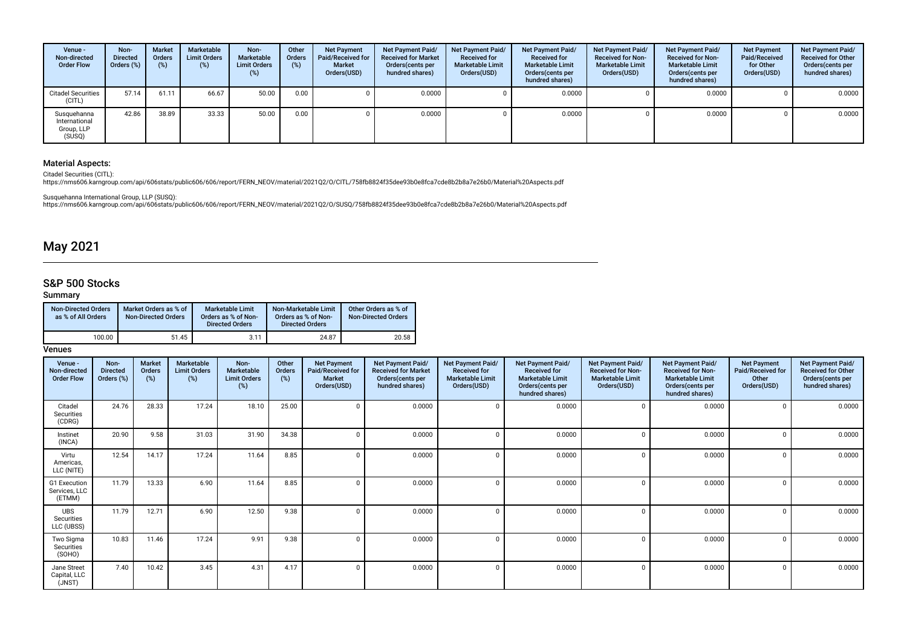| Venue -<br>Non-directed<br><b>Order Flow</b>         | Non-<br><b>Directed</b><br>Orders $(\%)$ | <b>Market</b><br><b>Orders</b><br>$(\%)$ | <b>Marketable</b><br><b>Limit Orders</b><br>(%) | Non-<br>Marketable<br><b>Limit Orders</b><br>$(\%)$ | Other<br>Orders<br>$(\%)$ | <b>Net Payment</b><br>Paid/Received for<br><b>Market</b><br>Orders(USD) | Net Payment Paid/<br><b>Received for Market</b><br>Orders (cents per<br>hundred shares) | <b>Net Payment Paid/</b><br><b>Received for</b><br><b>Marketable Limit</b><br>Orders(USD) | Net Payment Paid/<br><b>Received for</b><br><b>Marketable Limit</b><br>Orders(cents per<br>hundred shares) | Net Payment Paid/<br><b>Received for Non-</b><br><b>Marketable Limit</b><br>Orders(USD) | Net Payment Paid/<br><b>Received for Non-</b><br><b>Marketable Limit</b><br>Orders (cents per<br>hundred shares) | <b>Net Payment</b><br>Paid/Received<br>for Other<br>Orders(USD) | Net Payment Paid/<br><b>Received for Other</b><br>Orders(cents per<br>hundred shares) |
|------------------------------------------------------|------------------------------------------|------------------------------------------|-------------------------------------------------|-----------------------------------------------------|---------------------------|-------------------------------------------------------------------------|-----------------------------------------------------------------------------------------|-------------------------------------------------------------------------------------------|------------------------------------------------------------------------------------------------------------|-----------------------------------------------------------------------------------------|------------------------------------------------------------------------------------------------------------------|-----------------------------------------------------------------|---------------------------------------------------------------------------------------|
| <b>Citadel Securities</b><br>(CITL)                  | 57.14                                    | 61.11                                    | 66.67                                           | 50.00                                               | 0.00                      |                                                                         | 0.0000                                                                                  |                                                                                           | 0.0000                                                                                                     |                                                                                         | 0.0000                                                                                                           |                                                                 | 0.0000                                                                                |
| Susquehanna<br>International<br>Group, LLP<br>(SUSQ) | 42.86                                    | 38.89                                    | 33.33                                           | 50.00                                               | 0.00                      |                                                                         | 0.0000                                                                                  |                                                                                           | 0.0000                                                                                                     |                                                                                         | 0.0000                                                                                                           |                                                                 | 0.0000                                                                                |

Citadel Securities (CITL):<br>https://nms606.karngroup.com/api/606stats/public606/606/report/FERN\_NEOV/material/2021Q2/O/CITL/758fb8824f35dee93b0e8fca7cde8b2b8a7e26b0/Material%20Aspects.pdf

Susquehanna International Group, LLP (SUSQ):<br>https://nms606.karngroup.com/api/606stats/public606/606/report/FERN\_NEOV/material/2021Q2/O/SUSQ/758fb8824f35dee93b0e8fca7cde8b2b8a7e26b0/Material%20Aspects.pdf

## May 2021

## S&P 500 Stocks

### Summary

| <b>Non-Directed Orders</b><br>as % of All Orders | Market Orders as % of<br><b>Non-Directed Orders</b> | <b>Marketable Limit</b><br>Orders as % of Non-<br><b>Directed Orders</b> | Non-Marketable Limit<br>Orders as % of Non-<br><b>Directed Orders</b> | Other Orders as % of<br><b>Non-Directed Orders</b> |
|--------------------------------------------------|-----------------------------------------------------|--------------------------------------------------------------------------|-----------------------------------------------------------------------|----------------------------------------------------|
| 100.00                                           | 51.45                                               | 3.11                                                                     | 24.87                                                                 | 20.58                                              |

| Venue -<br>Non-directed<br><b>Order Flow</b> | Non-<br><b>Directed</b><br>Orders (%) | <b>Market</b><br>Orders<br>(%) | Marketable<br><b>Limit Orders</b><br>(%) | Non-<br>Marketable<br><b>Limit Orders</b><br>(%) | Other<br>Orders<br>(%) | <b>Net Payment</b><br>Paid/Received for<br><b>Market</b><br>Orders(USD) | Net Payment Paid/<br><b>Received for Market</b><br>Orders(cents per<br>hundred shares) | <b>Net Payment Paid/</b><br><b>Received for</b><br><b>Marketable Limit</b><br>Orders(USD) | Net Payment Paid/<br><b>Received for</b><br><b>Marketable Limit</b><br>Orders(cents per<br>hundred shares) | Net Payment Paid/<br><b>Received for Non-</b><br><b>Marketable Limit</b><br>Orders(USD) | <b>Net Payment Paid/</b><br><b>Received for Non-</b><br><b>Marketable Limit</b><br>Orders(cents per<br>hundred shares) | <b>Net Payment</b><br>Paid/Received for<br>Other<br>Orders(USD) | Net Payment Paid/<br><b>Received for Other</b><br>Orders(cents per<br>hundred shares) |
|----------------------------------------------|---------------------------------------|--------------------------------|------------------------------------------|--------------------------------------------------|------------------------|-------------------------------------------------------------------------|----------------------------------------------------------------------------------------|-------------------------------------------------------------------------------------------|------------------------------------------------------------------------------------------------------------|-----------------------------------------------------------------------------------------|------------------------------------------------------------------------------------------------------------------------|-----------------------------------------------------------------|---------------------------------------------------------------------------------------|
| Citadel<br>Securities<br>(CDRG)              | 24.76                                 | 28.33                          | 17.24                                    | 18.10                                            | 25.00                  |                                                                         | 0.0000                                                                                 |                                                                                           | 0.0000                                                                                                     |                                                                                         | 0.0000                                                                                                                 |                                                                 | 0.0000                                                                                |
| Instinet<br>(INCA)                           | 20.90                                 | 9.58                           | 31.03                                    | 31.90                                            | 34.38                  |                                                                         | 0.0000                                                                                 |                                                                                           | 0.0000                                                                                                     |                                                                                         | 0.0000                                                                                                                 |                                                                 | 0.0000                                                                                |
| Virtu<br>Americas,<br>LLC (NITE)             | 12.54                                 | 14.17                          | 17.24                                    | 11.64                                            | 8.85                   |                                                                         | 0.0000                                                                                 |                                                                                           | 0.0000                                                                                                     |                                                                                         | 0.0000                                                                                                                 |                                                                 | 0.0000                                                                                |
| G1 Execution<br>Services, LLC<br>(ETMM)      | 11.79                                 | 13.33                          | 6.90                                     | 11.64                                            | 8.85                   |                                                                         | 0.0000                                                                                 |                                                                                           | 0.0000                                                                                                     |                                                                                         | 0.0000                                                                                                                 |                                                                 | 0.0000                                                                                |
| <b>UBS</b><br>Securities<br>LLC (UBSS)       | 11.79                                 | 12.71                          | 6.90                                     | 12.50                                            | 9.38                   |                                                                         | 0.0000                                                                                 |                                                                                           | 0.0000                                                                                                     |                                                                                         | 0.0000                                                                                                                 |                                                                 | 0.0000                                                                                |
| Two Sigma<br>Securities<br>(SOHO)            | 10.83                                 | 11.46                          | 17.24                                    | 9.91                                             | 9.38                   |                                                                         | 0.0000                                                                                 |                                                                                           | 0.0000                                                                                                     |                                                                                         | 0.0000                                                                                                                 |                                                                 | 0.0000                                                                                |
| Jane Street<br>Capital, LLC<br>(JNST)        | 7.40                                  | 10.42                          | 3.45                                     | 4.31                                             | 4.17                   |                                                                         | 0.0000                                                                                 |                                                                                           | 0.0000                                                                                                     |                                                                                         | 0.0000                                                                                                                 |                                                                 | 0.0000                                                                                |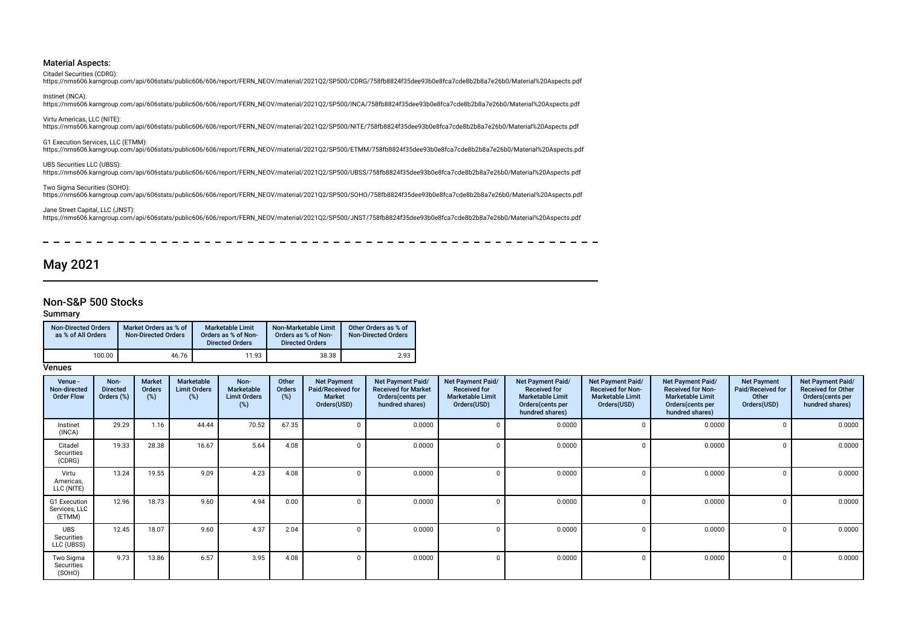Citadel Securities (CDRG):

https://nms606.karngroup.com/api/606stats/public606/606/report/FERN\_NEOV/material/2021Q2/SP500/CDRG/758fb8824f35dee93b0e8fca7cde8b2b8a7e26b0/Material%20Aspects.pdf

Instinet (INCA): https://nms606.karngroup.com/api/606stats/public606/606/report/FERN\_NEOV/material/2021Q2/SP500/INCA/758fb8824f35dee93b0e8fca7cde8b2b8a7e26b0/Material%20Aspects.pdf

#### Virtu Americas, LLC (NITE):

https://nms606.karngroup.com/api/606stats/public606/606/report/FERN\_NEOV/material/2021Q2/SP500/NITE/758fb8824f35dee93b0e8fca7cde8b2b8a7e26b0/Material%20Aspects.pdf

G1 Execution Services, LLC (ETMM):

https://nms606.karngroup.com/api/606stats/public606/606/report/FERN\_NEOV/material/2021Q2/SP500/ETMM/758fb8824f35dee93b0e8fca7cde8b2b8a7e26b0/Material%20Aspects.pdf

UBS Securities LLC (UBSS): https://nms606.karngroup.com/api/606stats/public606/606/report/FERN\_NEOV/material/2021Q2/SP500/UBSS/758fb8824f35dee93b0e8fca7cde8b2b8a7e26b0/Material%20Aspects.pdf

Two Sigma Securities (SOHO): https://nms606.karngroup.com/api/606stats/public606/606/report/FERN\_NEOV/material/2021Q2/SP500/SOHO/758fb8824f35dee93b0e8fca7cde8b2b8a7e26b0/Material%20Aspects.pdf

Jane Street Capital, LLC (JNST): https://nms606.karngroup.com/api/606stats/public606/606/report/FERN\_NEOV/material/2021Q2/SP500/JNST/758fb8824f35dee93b0e8fca7cde8b2b8a7e26b0/Material%20Aspects.pdf

## May 2021

### Non-S&P 500 Stocks

#### Summary

| <b>Non-Directed Orders</b><br>as % of All Orders | Market Orders as % of<br><b>Non-Directed Orders</b> | <b>Marketable Limit</b><br>Orders as % of Non-<br><b>Directed Orders</b> | Non-Marketable Limit<br>Orders as % of Non-<br><b>Directed Orders</b> | Other Orders as % of<br><b>Non-Directed Orders</b> |
|--------------------------------------------------|-----------------------------------------------------|--------------------------------------------------------------------------|-----------------------------------------------------------------------|----------------------------------------------------|
| 100.00                                           | 46.76                                               | 11.93                                                                    | 38.38                                                                 | 2.93                                               |

| Venue -<br>Non-directed<br><b>Order Flow</b> | Non-<br><b>Directed</b><br>Orders (%) | <b>Market</b><br><b>Orders</b><br>(%) | Marketable<br><b>Limit Orders</b><br>(%) | Non-<br><b>Marketable</b><br><b>Limit Orders</b><br>(%) | Other<br><b>Orders</b><br>$(\%)$ | <b>Net Payment</b><br>Paid/Received for<br><b>Market</b><br>Orders(USD) | Net Payment Paid/<br><b>Received for Market</b><br>Orders (cents per<br>hundred shares) | <b>Net Payment Paid/</b><br><b>Received for</b><br><b>Marketable Limit</b><br>Orders(USD) | <b>Net Payment Paid/</b><br><b>Received for</b><br><b>Marketable Limit</b><br>Orders(cents per<br>hundred shares) | Net Payment Paid/<br><b>Received for Non-</b><br><b>Marketable Limit</b><br>Orders(USD) | Net Payment Paid/<br><b>Received for Non-</b><br><b>Marketable Limit</b><br>Orders (cents per<br>hundred shares) | <b>Net Payment</b><br>Paid/Received for<br>Other<br>Orders(USD) | Net Payment Paid/<br><b>Received for Other</b><br>Orders(cents per<br>hundred shares) |
|----------------------------------------------|---------------------------------------|---------------------------------------|------------------------------------------|---------------------------------------------------------|----------------------------------|-------------------------------------------------------------------------|-----------------------------------------------------------------------------------------|-------------------------------------------------------------------------------------------|-------------------------------------------------------------------------------------------------------------------|-----------------------------------------------------------------------------------------|------------------------------------------------------------------------------------------------------------------|-----------------------------------------------------------------|---------------------------------------------------------------------------------------|
| Instinet<br>(INCA)                           | 29.29                                 | 1.16                                  | 44.44                                    | 70.52                                                   | 67.35                            |                                                                         | 0.0000                                                                                  |                                                                                           | 0.0000                                                                                                            | $\Omega$                                                                                | 0.0000                                                                                                           |                                                                 | 0.0000                                                                                |
| Citadel<br>Securities<br>(CDRG)              | 19.33                                 | 28.38                                 | 16.67                                    | 5.64                                                    | 4.08                             |                                                                         | 0.0000                                                                                  |                                                                                           | 0.0000                                                                                                            | $\Omega$                                                                                | 0.0000                                                                                                           |                                                                 | 0.0000                                                                                |
| Virtu<br>Americas,<br>LLC (NITE)             | 13.24                                 | 19.55                                 | 9.09                                     | 4.23                                                    | 4.08                             |                                                                         | 0.0000                                                                                  | $\Omega$                                                                                  | 0.0000                                                                                                            | $\Omega$                                                                                | 0.0000                                                                                                           | 0                                                               | 0.0000                                                                                |
| G1 Execution<br>Services, LLC<br>(ETMM)      | 12.96                                 | 18.73                                 | 9.60                                     | 4.94                                                    | 0.00                             |                                                                         | 0.0000                                                                                  | $\Omega$                                                                                  | 0.0000                                                                                                            |                                                                                         | 0.0000                                                                                                           |                                                                 | 0.0000                                                                                |
| <b>UBS</b><br>Securities<br>LLC (UBSS)       | 12.45                                 | 18.07                                 | 9.60                                     | 4.37                                                    | 2.04                             |                                                                         | 0.0000                                                                                  | n                                                                                         | 0.0000                                                                                                            | $\cap$                                                                                  | 0.0000                                                                                                           |                                                                 | 0.0000                                                                                |
| Two Sigma<br>Securities<br>(SOHO)            | 9.73                                  | 13.86                                 | 6.57                                     | 3.95                                                    | 4.08                             |                                                                         | 0.0000                                                                                  | $\Omega$                                                                                  | 0.0000                                                                                                            | - 0                                                                                     | 0.0000                                                                                                           |                                                                 | 0.0000                                                                                |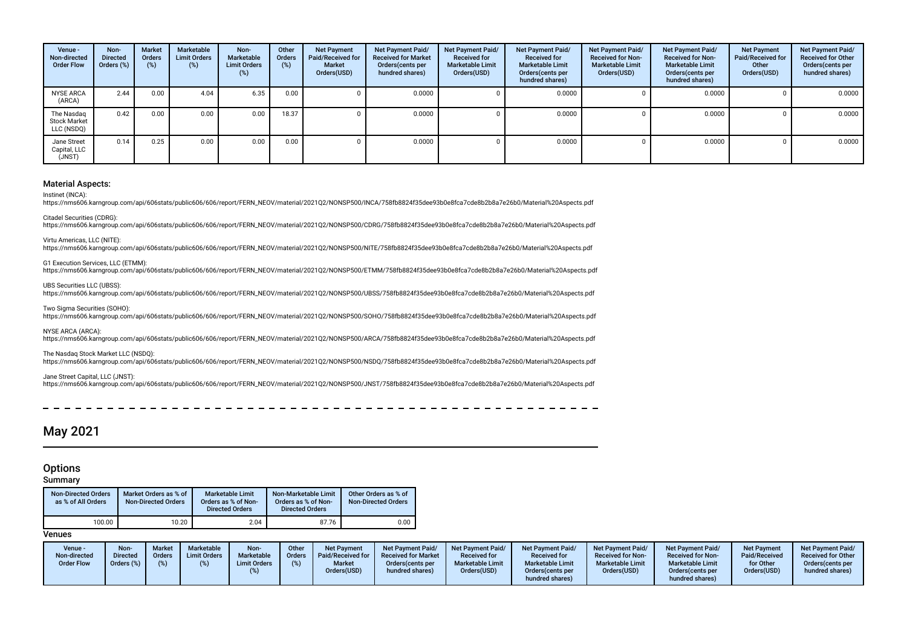| Venue -<br>Non-directed<br><b>Order Flow</b>    | Non-<br><b>Directed</b><br>Orders (%) | <b>Market</b><br><b>Orders</b><br>(96) | Marketable<br><b>Limit Orders</b><br>$(\%)$ | Non-<br>Marketable<br><b>Limit Orders</b><br>(%) | Other<br>Orders<br>(%) | <b>Net Payment</b><br>Paid/Received for<br><b>Market</b><br>Orders(USD) | Net Payment Paid/<br><b>Received for Market</b><br>Orders (cents per<br>hundred shares) | Net Payment Paid/<br><b>Received for</b><br><b>Marketable Limit</b><br>Orders(USD) | Net Payment Paid/<br><b>Received for</b><br><b>Marketable Limit</b><br>Orders (cents per<br>hundred shares) | Net Payment Paid/<br><b>Received for Non-</b><br><b>Marketable Limit</b><br>Orders(USD) | Net Payment Paid/<br><b>Received for Non-</b><br><b>Marketable Limit</b><br>Orders (cents per<br>hundred shares) | <b>Net Payment</b><br>Paid/Received for<br>Other<br>Orders(USD) | <b>Net Payment Paid/</b><br><b>Received for Other</b><br>Orders(cents per<br>hundred shares) |
|-------------------------------------------------|---------------------------------------|----------------------------------------|---------------------------------------------|--------------------------------------------------|------------------------|-------------------------------------------------------------------------|-----------------------------------------------------------------------------------------|------------------------------------------------------------------------------------|-------------------------------------------------------------------------------------------------------------|-----------------------------------------------------------------------------------------|------------------------------------------------------------------------------------------------------------------|-----------------------------------------------------------------|----------------------------------------------------------------------------------------------|
| NYSE ARCA<br>(ARCA)                             | 2.44                                  | 0.00                                   | 4.04                                        | 6.35                                             | 0.00                   |                                                                         | 0.0000                                                                                  |                                                                                    | 0.0000                                                                                                      |                                                                                         | 0.0000                                                                                                           |                                                                 | 0.0000                                                                                       |
| The Nasdag<br><b>Stock Market</b><br>LLC (NSDQ) | 0.42                                  | 0.00                                   | 0.00                                        | 0.00                                             | 18.37                  |                                                                         | 0.0000                                                                                  |                                                                                    | 0.0000                                                                                                      |                                                                                         | 0.0000                                                                                                           |                                                                 | 0.0000                                                                                       |
| Jane Street<br>Capital, LLC<br>(JNST)           | 0.14                                  | 0.25                                   | 0.00                                        | 0.00                                             | 0.00                   |                                                                         | 0.0000                                                                                  |                                                                                    | 0.0000                                                                                                      |                                                                                         | 0.0000                                                                                                           |                                                                 | 0.0000                                                                                       |

Instinet (INCA):

https://nms606.karngroup.com/api/606stats/public606/606/report/FERN\_NEOV/material/2021Q2/NONSP500/INCA/758fb8824f35dee93b0e8fca7cde8b2b8a7e26b0/Material%20Aspects.pdf

Citadel Securities (CDRG): https://nms606.karngroup.com/api/606stats/public606/606/report/FERN\_NEOV/material/2021Q2/NONSP500/CDRG/758fb8824f35dee93b0e8fca7cde8b2b8a7e26b0/Material%20Aspects.pdf

Virtu Americas, LLC (NITE):

https://nms606.karngroup.com/api/606stats/public606/606/report/FERN\_NEOV/material/2021Q2/NONSP500/NITE/758fb8824f35dee93b0e8fca7cde8b2b8a7e26b0/Material%20Aspects.pdf

G1 Execution Services, LLC (ETMM): https://nms606.karngroup.com/api/606stats/public606/606/report/FERN\_NEOV/material/2021Q2/NONSP500/ETMM/758fb8824f35dee93b0e8fca7cde8b2b8a7e26b0/Material%20Aspects.pdf

UBS Securities LLC (UBSS):

https://nms606.karngroup.com/api/606stats/public606/606/report/FERN\_NEOV/material/2021Q2/NONSP500/UBSS/758fb8824f35dee93b0e8fca7cde8b2b8a7e26b0/Material%20Aspects.pdf

Two Sigma Securities (SOHO):

https://nms606.karngroup.com/api/606stats/public606/606/report/FERN\_NEOV/material/2021Q2/NONSP500/SOHO/758fb8824f35dee93b0e8fca7cde8b2b8a7e26b0/Material%20Aspects.pdf

NYSE ARCA (ARCA):

https://nms606.karngroup.com/api/606stats/public606/606/report/FERN\_NEOV/material/2021Q2/NONSP500/ARCA/758fb8824f35dee93b0e8fca7cde8b2b8a7e26b0/Material%20Aspects.pdf

The Nasdaq Stock Market LLC (NSDQ):

https://nms606.karngroup.com/api/606stats/public606/606/report/FERN\_NEOV/material/2021Q2/NONSP500/NSDQ/758fb8824f35dee93b0e8fca7cde8b2b8a7e26b0/Material%20Aspects.pdf

#### Jane Street Capital, LLC (JNST):

https://nms606.karngroup.com/api/606stats/public606/606/report/FERN\_NEOV/material/2021Q2/NONSP500/JNST/758fb8824f35dee93b0e8fca7cde8b2b8a7e26b0/Material%20Aspects.pdf

## May 2021

### **Options**

Summary

| <b>Non-Directed Orders</b><br>as % of All Orders | Market Orders as % of<br><b>Non-Directed Orders</b> | Marketable Limit<br>Orders as % of Non-<br><b>Directed Orders</b> | Non-Marketable Limit<br>Orders as % of Non-<br><b>Directed Orders</b> | Other Orders as % of<br>Non-Directed Orders |
|--------------------------------------------------|-----------------------------------------------------|-------------------------------------------------------------------|-----------------------------------------------------------------------|---------------------------------------------|
| 100.00                                           | 10.20                                               | 2.04                                                              | 87.76                                                                 | 0.00                                        |

| Venue -<br>Non-directed<br><b>Order Flow</b> | Non-<br><b>Directed</b><br>Orders (%) | <b>Market</b><br><b>Orders</b> | Marketable<br><b>Limit Orders</b> | Non-<br>Marketable<br><b>Limit Orders</b> | Other<br>Orders | <b>Net Payment</b><br>Paid/Received for<br><b>Market</b><br>Orders(USD) | <b>Net Payment Paid/</b><br><b>Received for Market</b><br>Orders (cents per<br>hundred shares) | <b>Net Payment Paid/</b><br><b>Received for</b><br><b>Marketable Limit</b><br>Orders(USD) | <b>Net Payment Paid/</b><br><b>Received for</b><br><b>Marketable Limit</b><br>Orders (cents per | Net Payment Paid/<br><b>Received for Non-</b><br><b>Marketable Limit</b><br>Orders(USD) | <b>Net Payment Paid</b><br><b>Received for Non-</b><br><b>Marketable Limit</b><br>Orders(cents per | <b>Net Payment</b><br>Paid/Received<br>for Other<br>Orders(USD) | Net Payment Paid/<br><b>Received for Other</b><br>Orders(cents per<br>hundred shares) |
|----------------------------------------------|---------------------------------------|--------------------------------|-----------------------------------|-------------------------------------------|-----------------|-------------------------------------------------------------------------|------------------------------------------------------------------------------------------------|-------------------------------------------------------------------------------------------|-------------------------------------------------------------------------------------------------|-----------------------------------------------------------------------------------------|----------------------------------------------------------------------------------------------------|-----------------------------------------------------------------|---------------------------------------------------------------------------------------|
|                                              |                                       |                                |                                   |                                           |                 |                                                                         |                                                                                                |                                                                                           | hundred shares)                                                                                 |                                                                                         | hundred shares)                                                                                    |                                                                 |                                                                                       |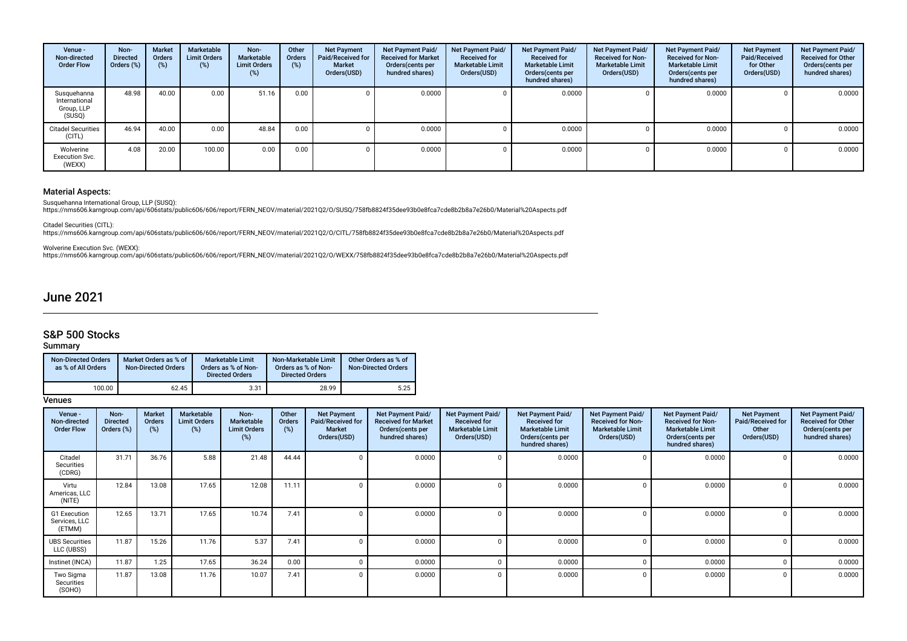| Venue -<br>Non-directed<br><b>Order Flow</b>         | Non-<br><b>Directed</b><br>Orders (%) | <b>Market</b><br>Orders<br>$(\%)$ | Marketable<br><b>Limit Orders</b><br>(%) | Non-<br>Marketable<br><b>Limit Orders</b><br>(%) | Other<br><b>Orders</b><br>(%) | <b>Net Payment</b><br>Paid/Received for<br><b>Market</b><br>Orders(USD) | Net Payment Paid/<br><b>Received for Market</b><br>Orders(cents per<br>hundred shares) | Net Payment Paid/<br><b>Received for</b><br><b>Marketable Limit</b><br>Orders(USD) | Net Payment Paid/<br><b>Received for</b><br><b>Marketable Limit</b><br>Orders (cents per<br>hundred shares) | Net Payment Paid/<br><b>Received for Non-</b><br><b>Marketable Limit</b><br>Orders(USD) | Net Payment Paid/<br><b>Received for Non-</b><br><b>Marketable Limit</b><br>Orders (cents per<br>hundred shares) | <b>Net Payment</b><br>Paid/Received<br>for Other<br>Orders(USD) | Net Payment Paid/<br><b>Received for Other</b><br>Orders(cents per<br>hundred shares) |
|------------------------------------------------------|---------------------------------------|-----------------------------------|------------------------------------------|--------------------------------------------------|-------------------------------|-------------------------------------------------------------------------|----------------------------------------------------------------------------------------|------------------------------------------------------------------------------------|-------------------------------------------------------------------------------------------------------------|-----------------------------------------------------------------------------------------|------------------------------------------------------------------------------------------------------------------|-----------------------------------------------------------------|---------------------------------------------------------------------------------------|
| Susquehanna<br>International<br>Group, LLP<br>(SUSQ) | 48.98                                 | 40.00                             | 0.00                                     | 51.16                                            | 0.00                          |                                                                         | 0.0000                                                                                 |                                                                                    | 0.0000                                                                                                      |                                                                                         | 0.0000                                                                                                           |                                                                 | 0.0000                                                                                |
| <b>Citadel Securities</b><br>(CITL)                  | 46.94                                 | 40.00                             | 0.00                                     | 48.84                                            | 0.00                          |                                                                         | 0.0000                                                                                 |                                                                                    | 0.0000                                                                                                      |                                                                                         | 0.0000                                                                                                           |                                                                 | 0.0000                                                                                |
| Wolverine<br><b>Execution Svc.</b><br>(WEXX)         | 4.08                                  | 20.00                             | 100.00                                   | 0.00                                             | 0.00                          |                                                                         | 0.0000                                                                                 |                                                                                    | 0.0000                                                                                                      |                                                                                         | 0.0000                                                                                                           |                                                                 | 0.0000                                                                                |

Susquehanna International Group, LLP (SUSQ):<br>https://nms606.karngroup.com/api/606stats/public606/606/report/FERN\_NEOV/material/2021Q2/O/SUSQ/758fb8824f35dee93b0e8fca7cde8b2b8a7e26b0/Material%20Aspects.pdf

Citadel Securities (CITL):<br>https://nms606.karngroup.com/api/606stats/public606/606/report/FERN\_NEOV/material/2021Q2/O/CITL/758fb8824f35dee93b0e8fca7cde8b2b8a7e26b0/Material%20Aspects.pdf

Wolverine Execution Svc. (WEXX):<br>https://nms606.karngroup.com/api/606stats/public606/606/report/FERN\_NEOV/material/2021Q2/O/WEXX/758fb8824f35dee93b0e8fca7cde8b2b8a7e26b0/Material%20Aspects.pdf

## June 2021

## S&P 500 Stocks

Summary

| <b>Non-Directed Orders</b><br>as % of All Orders | Market Orders as % of<br><b>Non-Directed Orders</b> | Marketable Limit<br>Orders as % of Non-<br><b>Directed Orders</b> | Non-Marketable Limit<br>Orders as % of Non-<br><b>Directed Orders</b> | Other Orders as % of<br><b>Non-Directed Orders</b> |
|--------------------------------------------------|-----------------------------------------------------|-------------------------------------------------------------------|-----------------------------------------------------------------------|----------------------------------------------------|
| 100.00                                           | 62.45                                               | 3.31                                                              | 28.99                                                                 | 5.25                                               |

| Venue -<br>Non-directed<br><b>Order Flow</b> | Non-<br><b>Directed</b><br>Orders (%) | Market<br><b>Orders</b><br>$(\%)$ | Marketable<br><b>Limit Orders</b><br>$(\%)$ | Non-<br>Marketable<br><b>Limit Orders</b><br>(%) | Other<br>Orders<br>(%) | <b>Net Payment</b><br><b>Paid/Received for</b><br><b>Market</b><br>Orders(USD) | Net Payment Paid/<br><b>Received for Market</b><br>Orders (cents per<br>hundred shares) | Net Payment Paid/<br><b>Received for</b><br><b>Marketable Limit</b><br>Orders(USD) | Net Payment Paid/<br><b>Received for</b><br><b>Marketable Limit</b><br>Orders (cents per<br>hundred shares) | Net Payment Paid/<br><b>Received for Non-</b><br><b>Marketable Limit</b><br>Orders(USD) | <b>Net Payment Paid/</b><br><b>Received for Non-</b><br><b>Marketable Limit</b><br>Orders (cents per<br>hundred shares) | <b>Net Payment</b><br>Paid/Received for<br>Other<br>Orders(USD) | Net Payment Paid/<br><b>Received for Other</b><br>Orders(cents per<br>hundred shares) |
|----------------------------------------------|---------------------------------------|-----------------------------------|---------------------------------------------|--------------------------------------------------|------------------------|--------------------------------------------------------------------------------|-----------------------------------------------------------------------------------------|------------------------------------------------------------------------------------|-------------------------------------------------------------------------------------------------------------|-----------------------------------------------------------------------------------------|-------------------------------------------------------------------------------------------------------------------------|-----------------------------------------------------------------|---------------------------------------------------------------------------------------|
| Citadel<br>Securities<br>(CDRG)              | 31.71                                 | 36.76                             | 5.88                                        | 21.48                                            | 44.44                  | 0                                                                              | 0.0000                                                                                  | n                                                                                  | 0.0000                                                                                                      |                                                                                         | 0.0000                                                                                                                  | 0                                                               | 0.0000                                                                                |
| Virtu<br>Americas, LLC<br>(NITE)             | 12.84                                 | 13.08                             | 17.65                                       | 12.08                                            | 11.11                  |                                                                                | 0.0000                                                                                  |                                                                                    | 0.0000                                                                                                      |                                                                                         | 0.0000                                                                                                                  | 0                                                               | 0.0000                                                                                |
| G1 Execution<br>Services, LLC<br>(ETMM)      | 12.65                                 | 13.71                             | 17.65                                       | 10.74                                            | 7.41                   |                                                                                | 0.0000                                                                                  |                                                                                    | 0.0000                                                                                                      |                                                                                         | 0.0000                                                                                                                  | $\Omega$                                                        | 0.0000                                                                                |
| <b>UBS Securities</b><br>LLC (UBSS)          | 11.87                                 | 15.26                             | 11.76                                       | 5.37                                             | 7.41                   |                                                                                | 0.0000                                                                                  |                                                                                    | 0.0000                                                                                                      |                                                                                         | 0.0000                                                                                                                  | $\Omega$                                                        | 0.0000                                                                                |
| Instinet (INCA)                              | 11.87                                 | 1.25                              | 17.65                                       | 36.24                                            | 0.00                   |                                                                                | 0.0000                                                                                  |                                                                                    | 0.0000                                                                                                      |                                                                                         | 0.0000                                                                                                                  | $\Omega$                                                        | 0.0000                                                                                |
| Two Sigma<br>Securities<br>(SOHO)            | 11.87                                 | 13.08                             | 11.76                                       | 10.07                                            | 7.41                   |                                                                                | 0.0000                                                                                  | $\Omega$                                                                           | 0.0000                                                                                                      |                                                                                         | 0.0000                                                                                                                  | $\Omega$                                                        | 0.0000                                                                                |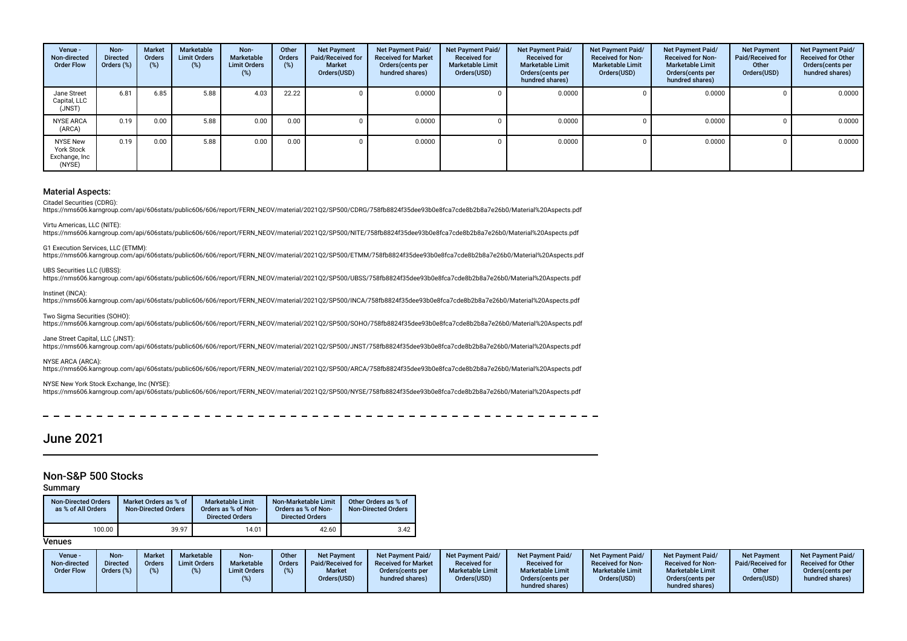| Venue -<br>Non-directed<br><b>Order Flow</b>                    | Non-<br><b>Directed</b><br>Orders (%) | <b>Market</b><br><b>Orders</b><br>(%) | Marketable<br><b>Limit Orders</b><br>$(\%)$ | Non-<br><b>Marketable</b><br><b>Limit Orders</b><br>$(\%)$ | Other<br>Orders<br>(%) | <b>Net Payment</b><br>Paid/Received for<br><b>Market</b><br>Orders(USD) | Net Payment Paid/<br><b>Received for Market</b><br>Orders (cents per<br>hundred shares) | Net Payment Paid/<br><b>Received for</b><br>Marketable Limit<br>Orders(USD) | Net Payment Paid/<br><b>Received for</b><br><b>Marketable Limit</b><br>Orders(cents per<br>hundred shares) | Net Payment Paid/<br><b>Received for Non-</b><br><b>Marketable Limit</b><br>Orders(USD) | <b>Net Payment Paid/</b><br><b>Received for Non-</b><br><b>Marketable Limit</b><br>Orders (cents per<br>hundred shares) | <b>Net Payment</b><br>Paid/Received for<br>Other<br>Orders(USD) | <b>Net Payment Paid/</b><br><b>Received for Other</b><br>Orders(cents per<br>hundred shares) |
|-----------------------------------------------------------------|---------------------------------------|---------------------------------------|---------------------------------------------|------------------------------------------------------------|------------------------|-------------------------------------------------------------------------|-----------------------------------------------------------------------------------------|-----------------------------------------------------------------------------|------------------------------------------------------------------------------------------------------------|-----------------------------------------------------------------------------------------|-------------------------------------------------------------------------------------------------------------------------|-----------------------------------------------------------------|----------------------------------------------------------------------------------------------|
| Jane Street<br>Capital, LLC<br>(JNST)                           | 6.81                                  | 6.85                                  | 5.88                                        | 4.03                                                       | 22.22                  |                                                                         | 0.0000                                                                                  |                                                                             | 0.0000                                                                                                     |                                                                                         | 0.0000                                                                                                                  |                                                                 | 0.0000                                                                                       |
| <b>NYSE ARCA</b><br>(ARCA)                                      | 0.19                                  | 0.00                                  | 5.88                                        | 0.00                                                       | 0.00                   |                                                                         | 0.0000                                                                                  |                                                                             | 0.0000                                                                                                     |                                                                                         | 0.0000                                                                                                                  |                                                                 | 0.0000                                                                                       |
| <b>NYSE New</b><br><b>York Stock</b><br>Exchange, Inc<br>(NYSE) | 0.19                                  | 0.00                                  | 5.88                                        | 0.00                                                       | 0.00                   |                                                                         | 0.0000                                                                                  |                                                                             | 0.0000                                                                                                     |                                                                                         | 0.0000                                                                                                                  |                                                                 | 0.0000                                                                                       |

Citadel Securities (CDRG):

https://nms606.karngroup.com/api/606stats/public606/606/report/FERN\_NEOV/material/2021Q2/SP500/CDRG/758fb8824f35dee93b0e8fca7cde8b2b8a7e26b0/Material%20Aspects.pdf

Virtu Americas, LLC (NITE):

https://nms606.karngroup.com/api/606stats/public606/606/report/FERN\_NEOV/material/2021Q2/SP500/NITE/758fb8824f35dee93b0e8fca7cde8b2b8a7e26b0/Material%20Aspects.pdf

G1 Execution Services, LLC (ETMM):

https://nms606.karngroup.com/api/606stats/public606/606/report/FERN\_NEOV/material/2021Q2/SP500/ETMM/758fb8824f35dee93b0e8fca7cde8b2b8a7e26b0/Material%20Aspects.pdf

#### UBS Securities LLC (UBSS):

https://nms606.karngroup.com/api/606stats/public606/606/report/FERN\_NEOV/material/2021Q2/SP500/UBSS/758fb8824f35dee93b0e8fca7cde8b2b8a7e26b0/Material%20Aspects.pdf

Instinet (INCA):

https://nms606.karngroup.com/api/606stats/public606/606/report/FERN\_NEOV/material/2021Q2/SP500/INCA/758fb8824f35dee93b0e8fca7cde8b2b8a7e26b0/Material%20Aspects.pdf

Two Sigma Securities (SOHO):

https://nms606.karngroup.com/api/606stats/public606/606/report/FERN\_NEOV/material/2021Q2/SP500/SOHO/758fb8824f35dee93b0e8fca7cde8b2b8a7e26b0/Material%20Aspects.pdf

Jane Street Capital, LLC (JNST):

https://nms606.karngroup.com/api/606stats/public606/606/report/FERN\_NEOV/material/2021Q2/SP500/JNST/758fb8824f35dee93b0e8fca7cde8b2b8a7e26b0/Material%20Aspects.pdf

NYSE ARCA (ARCA):

https://nms606.karngroup.com/api/606stats/public606/606/report/FERN\_NEOV/material/2021Q2/SP500/ARCA/758fb8824f35dee93b0e8fca7cde8b2b8a7e26b0/Material%20Aspects.pdf

#### NYSE New York Stock Exchange, Inc (NYSE):

https://nms606.karngroup.com/api/606stats/public606/606/report/FERN\_NEOV/material/2021Q2/SP500/NYSE/758fb8824f35dee93b0e8fca7cde8b2b8a7e26b0/Material%20Aspects.pdf

## June 2021

### Non-S&P 500 Stocks

#### Summary

| <b>Non-Directed Orders</b><br>as % of All Orders | Market Orders as % of<br><b>Non-Directed Orders</b> | Marketable Limit<br>Orders as % of Non-<br><b>Directed Orders</b> | Non-Marketable Limit<br>Orders as % of Non-<br><b>Directed Orders</b> | Other Orders as % of<br><b>Non-Directed Orders</b> |
|--------------------------------------------------|-----------------------------------------------------|-------------------------------------------------------------------|-----------------------------------------------------------------------|----------------------------------------------------|
| 100.00                                           | 39.97                                               | 14.01                                                             | 42.60                                                                 | 3.42                                               |

| Venue -<br>Non-directed<br><b>Order Flow</b> | Non-<br><b>Directed</b><br>Orders (%) | <b>Market</b><br><b>Orders</b> | <b>Marketable</b><br><b>Limit Orders</b> | Non-<br>Marketable<br><b>Limit Orders</b> | Other<br><b>Orders</b><br>(%) | <b>Net Payment</b><br><b>Paid/Received for</b><br><b>Market</b><br>Orders(USD) | Net Payment Paid/<br><b>Received for Market</b><br>Orders (cents per<br>hundred shares) | <b>Net Payment Paid/</b><br><b>Received for</b><br><b>Marketable Limit</b><br>Orders(USD) | <b>Net Payment Paid/</b><br><b>Received for</b><br><b>Marketable Limit</b><br>Orders (cents per<br>hundred shares) | Net Payment Paid/<br><b>Received for Non-</b><br><b>Marketable Limit</b><br>Orders(USD) | <b>Net Payment Paid/</b><br><b>Received for Non-</b><br><b>Marketable Limit</b><br>Orders (cents per<br>hundred shares) | <b>Net Payment</b><br>Paid/Received for<br>Other<br>Orders(USD) | <b>Net Payment Paid/</b><br><b>Received for Other</b><br>Orders (cents per<br>hundred shares) |
|----------------------------------------------|---------------------------------------|--------------------------------|------------------------------------------|-------------------------------------------|-------------------------------|--------------------------------------------------------------------------------|-----------------------------------------------------------------------------------------|-------------------------------------------------------------------------------------------|--------------------------------------------------------------------------------------------------------------------|-----------------------------------------------------------------------------------------|-------------------------------------------------------------------------------------------------------------------------|-----------------------------------------------------------------|-----------------------------------------------------------------------------------------------|
|----------------------------------------------|---------------------------------------|--------------------------------|------------------------------------------|-------------------------------------------|-------------------------------|--------------------------------------------------------------------------------|-----------------------------------------------------------------------------------------|-------------------------------------------------------------------------------------------|--------------------------------------------------------------------------------------------------------------------|-----------------------------------------------------------------------------------------|-------------------------------------------------------------------------------------------------------------------------|-----------------------------------------------------------------|-----------------------------------------------------------------------------------------------|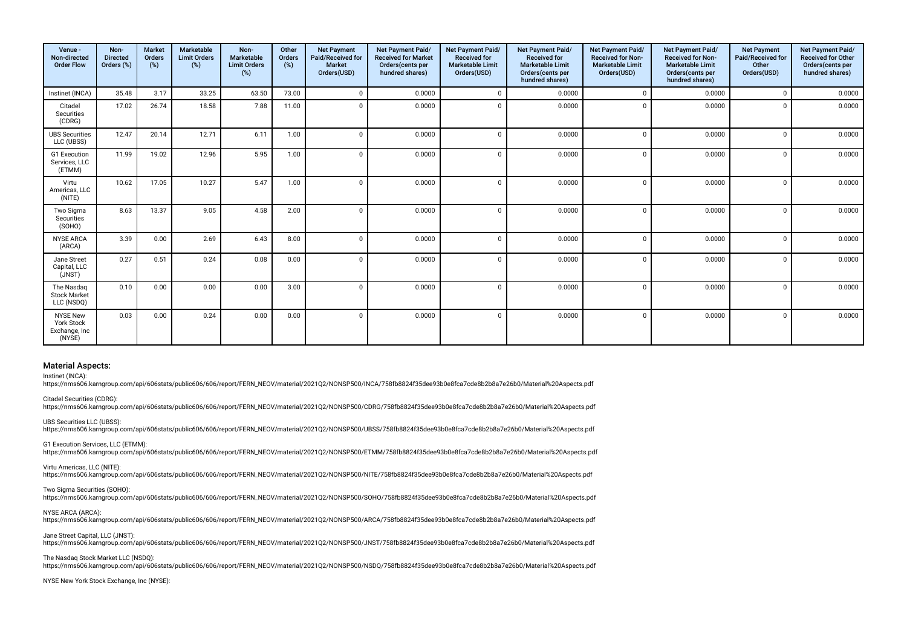| Venue -<br>Non-directed<br><b>Order Flow</b>                    | Non-<br><b>Directed</b><br>Orders (%) | <b>Market</b><br>Orders<br>$(\%)$ | <b>Marketable</b><br><b>Limit Orders</b><br>(%) | Non-<br><b>Marketable</b><br><b>Limit Orders</b><br>$(\%)$ | Other<br>Orders<br>(%) | <b>Net Payment</b><br>Paid/Received for<br><b>Market</b><br>Orders(USD) | Net Payment Paid/<br><b>Received for Market</b><br>Orders(cents per<br>hundred shares) | Net Payment Paid/<br><b>Received for</b><br><b>Marketable Limit</b><br>Orders(USD) | Net Payment Paid/<br><b>Received for</b><br><b>Marketable Limit</b><br>Orders(cents per<br>hundred shares) | Net Payment Paid/<br><b>Received for Non-</b><br><b>Marketable Limit</b><br>Orders(USD) | Net Payment Paid/<br><b>Received for Non-</b><br><b>Marketable Limit</b><br>Orders(cents per<br>hundred shares) | <b>Net Payment</b><br>Paid/Received for<br>Other<br>Orders(USD) | Net Payment Paid/<br><b>Received for Other</b><br>Orders(cents per<br>hundred shares) |
|-----------------------------------------------------------------|---------------------------------------|-----------------------------------|-------------------------------------------------|------------------------------------------------------------|------------------------|-------------------------------------------------------------------------|----------------------------------------------------------------------------------------|------------------------------------------------------------------------------------|------------------------------------------------------------------------------------------------------------|-----------------------------------------------------------------------------------------|-----------------------------------------------------------------------------------------------------------------|-----------------------------------------------------------------|---------------------------------------------------------------------------------------|
| Instinet (INCA)                                                 | 35.48                                 | 3.17                              | 33.25                                           | 63.50                                                      | 73.00                  | $\Omega$                                                                | 0.0000                                                                                 | $\Omega$                                                                           | 0.0000                                                                                                     |                                                                                         | 0.0000                                                                                                          | $\Omega$                                                        | 0.0000                                                                                |
| Citadel<br>Securities<br>(CDRG)                                 | 17.02                                 | 26.74                             | 18.58                                           | 7.88                                                       | 11.00                  | $\mathbf 0$                                                             | 0.0000                                                                                 | $\Omega$                                                                           | 0.0000                                                                                                     |                                                                                         | 0.0000                                                                                                          | $\Omega$                                                        | 0.0000                                                                                |
| <b>UBS Securities</b><br>LLC (UBSS)                             | 12.47                                 | 20.14                             | 12.71                                           | 6.11                                                       | 1.00                   | $\mathbf 0$                                                             | 0.0000                                                                                 | $\Omega$                                                                           | 0.0000                                                                                                     | $\Omega$                                                                                | 0.0000                                                                                                          | $\Omega$                                                        | 0.0000                                                                                |
| G1 Execution<br>Services, LLC<br>(ETMM)                         | 11.99                                 | 19.02                             | 12.96                                           | 5.95                                                       | 1.00                   | $\mathbf 0$                                                             | 0.0000                                                                                 | $\overline{0}$                                                                     | 0.0000                                                                                                     |                                                                                         | 0.0000                                                                                                          | $\Omega$                                                        | 0.0000                                                                                |
| Virtu<br>Americas, LLC<br>(NITE)                                | 10.62                                 | 17.05                             | 10.27                                           | 5.47                                                       | 1.00                   | $\mathbf 0$                                                             | 0.0000                                                                                 | $\Omega$                                                                           | 0.0000                                                                                                     |                                                                                         | 0.0000                                                                                                          | $\Omega$                                                        | 0.0000                                                                                |
| Two Sigma<br>Securities<br>(SOHO)                               | 8.63                                  | 13.37                             | 9.05                                            | 4.58                                                       | 2.00                   | $\Omega$                                                                | 0.0000                                                                                 | $\Omega$                                                                           | 0.0000                                                                                                     | $\Omega$                                                                                | 0.0000                                                                                                          | $\Omega$                                                        | 0.0000                                                                                |
| <b>NYSE ARCA</b><br>(ARCA)                                      | 3.39                                  | 0.00                              | 2.69                                            | 6.43                                                       | 8.00                   | $\Omega$                                                                | 0.0000                                                                                 | $\Omega$                                                                           | 0.0000                                                                                                     |                                                                                         | 0.0000                                                                                                          | $\Omega$                                                        | 0.0000                                                                                |
| Jane Street<br>Capital, LLC<br>(JNST)                           | 0.27                                  | 0.51                              | 0.24                                            | 0.08                                                       | 0.00                   | $\Omega$                                                                | 0.0000                                                                                 | $\Omega$                                                                           | 0.0000                                                                                                     |                                                                                         | 0.0000                                                                                                          | $\Omega$                                                        | 0.0000                                                                                |
| The Nasdaq<br><b>Stock Market</b><br>LLC (NSDQ)                 | 0.10                                  | 0.00                              | 0.00                                            | 0.00                                                       | 3.00                   | $\Omega$                                                                | 0.0000                                                                                 | $\Omega$                                                                           | 0.0000                                                                                                     |                                                                                         | 0.0000                                                                                                          | $\Omega$                                                        | 0.0000                                                                                |
| <b>NYSE New</b><br><b>York Stock</b><br>Exchange, Inc<br>(NYSE) | 0.03                                  | 0.00                              | 0.24                                            | 0.00                                                       | 0.00                   | $\Omega$                                                                | 0.0000                                                                                 | $\Omega$                                                                           | 0.0000                                                                                                     | $\Omega$                                                                                | 0.0000                                                                                                          | $\Omega$                                                        | 0.0000                                                                                |

Instinet (INCA):

https://nms606.karngroup.com/api/606stats/public606/606/report/FERN\_NEOV/material/2021Q2/NONSP500/INCA/758fb8824f35dee93b0e8fca7cde8b2b8a7e26b0/Material%20Aspects.pdf

Citadel Securities (CDRG): https://nms606.karngroup.com/api/606stats/public606/606/report/FERN\_NEOV/material/2021Q2/NONSP500/CDRG/758fb8824f35dee93b0e8fca7cde8b2b8a7e26b0/Material%20Aspects.pdf

UBS Securities LLC (UBSS): https://nms606.karngroup.com/api/606stats/public606/606/report/FERN\_NEOV/material/2021Q2/NONSP500/UBSS/758fb8824f35dee93b0e8fca7cde8b2b8a7e26b0/Material%20Aspects.pdf

G1 Execution Services, LLC (ETMM): https://nms606.karngroup.com/api/606stats/public606/606/report/FERN\_NEOV/material/2021Q2/NONSP500/ETMM/758fb8824f35dee93b0e8fca7cde8b2b8a7e26b0/Material%20Aspects.pdf

Virtu Americas, LLC (NITE): https://nms606.karngroup.com/api/606stats/public606/606/report/FERN\_NEOV/material/2021Q2/NONSP500/NITE/758fb8824f35dee93b0e8fca7cde8b2b8a7e26b0/Material%20Aspects.pdf

Two Sigma Securities (SOHO): https://nms606.karngroup.com/api/606stats/public606/606/report/FERN\_NEOV/material/2021Q2/NONSP500/SOHO/758fb8824f35dee93b0e8fca7cde8b2b8a7e26b0/Material%20Aspects.pdf

NYSE ARCA (ARCA): https://nms606.karngroup.com/api/606stats/public606/606/report/FERN\_NEOV/material/2021Q2/NONSP500/ARCA/758fb8824f35dee93b0e8fca7cde8b2b8a7e26b0/Material%20Aspects.pdf

Jane Street Capital, LLC (JNST): https://nms606.karngroup.com/api/606stats/public606/606/report/FERN\_NEOV/material/2021Q2/NONSP500/JNST/758fb8824f35dee93b0e8fca7cde8b2b8a7e26b0/Material%20Aspects.pdf

The Nasdaq Stock Market LLC (NSDO): https://nms606.karngroup.com/api/606stats/public606/606/report/FERN\_NEOV/material/2021Q2/NONSP500/NSDQ/758fb8824f35dee93b0e8fca7cde8b2b8a7e26b0/Material%20Aspects.pdf

NYSE New York Stock Exchange, Inc (NYSE):